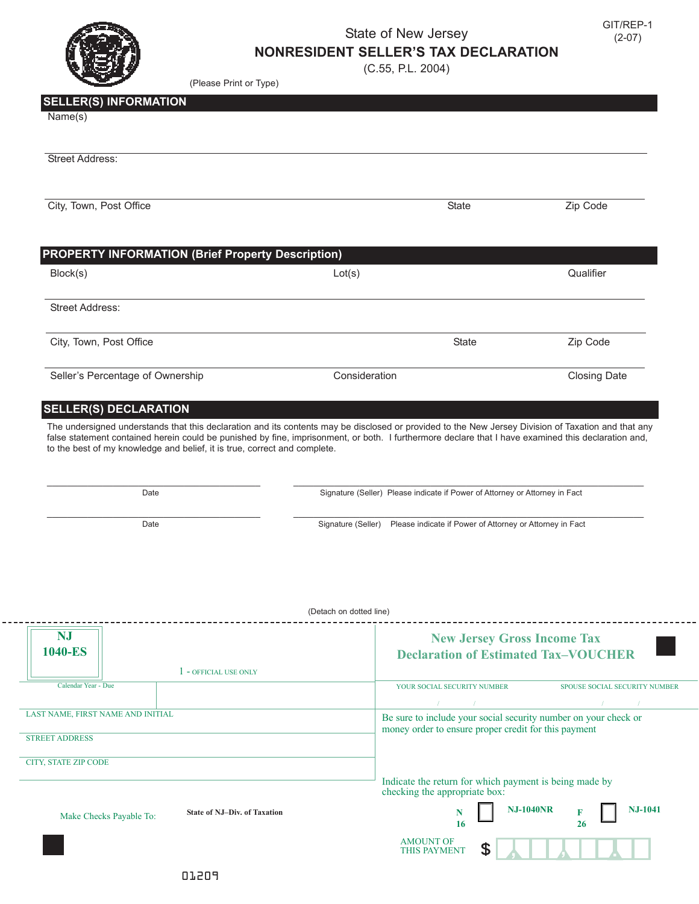

## State of New Jersey **NONRESIDENT SELLER'S TAX DECLARATION**

(Please Print or Type)

(C.55, P.L. 2004)

## **SELLER(S) INFORMATION**

| Name(s) |  |
|---------|--|
|---------|--|

| <b>Street Address:</b>                                                                                                                                                                                                                                                                                                                                                                  |               |              |                     |
|-----------------------------------------------------------------------------------------------------------------------------------------------------------------------------------------------------------------------------------------------------------------------------------------------------------------------------------------------------------------------------------------|---------------|--------------|---------------------|
| City, Town, Post Office                                                                                                                                                                                                                                                                                                                                                                 |               | <b>State</b> | Zip Code            |
| <b>PROPERTY INFORMATION (Brief Property Description)</b>                                                                                                                                                                                                                                                                                                                                |               |              |                     |
| Block(s)                                                                                                                                                                                                                                                                                                                                                                                | Lot(s)        |              | Qualifier           |
| <b>Street Address:</b>                                                                                                                                                                                                                                                                                                                                                                  |               |              |                     |
| City, Town, Post Office                                                                                                                                                                                                                                                                                                                                                                 |               | <b>State</b> | Zip Code            |
| Seller's Percentage of Ownership                                                                                                                                                                                                                                                                                                                                                        | Consideration |              | <b>Closing Date</b> |
| <b>SELLER(S) DECLARATION</b>                                                                                                                                                                                                                                                                                                                                                            |               |              |                     |
| The undersigned understands that this declaration and its contents may be disclosed or provided to the New Jersey Division of Taxation and that any<br>false statement contained herein could be punished by fine, imprisonment, or both. I furthermore declare that I have examined this declaration and,<br>to the best of my knowledge and belief, it is true, correct and complete. |               |              |                     |

\_\_\_\_\_\_\_\_\_\_\_\_\_\_\_\_\_\_\_\_\_\_\_\_\_\_\_\_\_\_\_\_\_\_\_\_\_\_\_\_\_\_ \_\_\_\_\_\_\_\_\_\_\_\_\_\_\_\_\_\_\_\_\_\_\_\_\_\_\_\_\_\_\_\_\_\_\_\_\_\_\_\_\_\_\_\_\_\_\_\_\_\_\_\_\_\_\_\_\_\_\_\_\_\_\_\_\_\_\_\_\_

Date Signature (Seller) Please indicate if Power of Attorney or Attorney in Fact

 $\_$  , and the state of the state of the state of the state of the state of the state of the state of the state of the state of the state of the state of the state of the state of the state of the state of the state of the Date **Signature (Seller)** Please indicate if Power of Attorney or Attorney in Fact

|                                                                                    | (Detach on dotted line)                                                                                                 |                                                                                                                        |                                                                                   |  |  |
|------------------------------------------------------------------------------------|-------------------------------------------------------------------------------------------------------------------------|------------------------------------------------------------------------------------------------------------------------|-----------------------------------------------------------------------------------|--|--|
| <b>NJ</b><br><b>1040-ES</b>                                                        |                                                                                                                         |                                                                                                                        | <b>New Jersey Gross Income Tax</b><br><b>Declaration of Estimated Tax-VOUCHER</b> |  |  |
|                                                                                    | - OFFICIAL USE ONLY                                                                                                     |                                                                                                                        |                                                                                   |  |  |
| Calendar Year - Due                                                                |                                                                                                                         | YOUR SOCIAL SECURITY NUMBER                                                                                            | SPOUSE SOCIAL SECURITY NUMBER                                                     |  |  |
|                                                                                    |                                                                                                                         |                                                                                                                        |                                                                                   |  |  |
| LAST NAME, FIRST NAME AND INITIAL<br><b>STREET ADDRESS</b><br>CITY, STATE ZIP CODE | Be sure to include your social security number on your check or<br>money order to ensure proper credit for this payment |                                                                                                                        |                                                                                   |  |  |
| <b>State of NJ-Div. of Taxation</b><br>Make Checks Payable To:                     |                                                                                                                         | Indicate the return for which payment is being made by<br>checking the appropriate box:<br><b>NJ-1040NR</b><br>N<br>16 | <b>NJ-1041</b><br>26                                                              |  |  |
|                                                                                    |                                                                                                                         | <b>AMOUNT OF</b><br>£.<br>THIS PAYMENT                                                                                 |                                                                                   |  |  |
|                                                                                    | 01209                                                                                                                   |                                                                                                                        |                                                                                   |  |  |